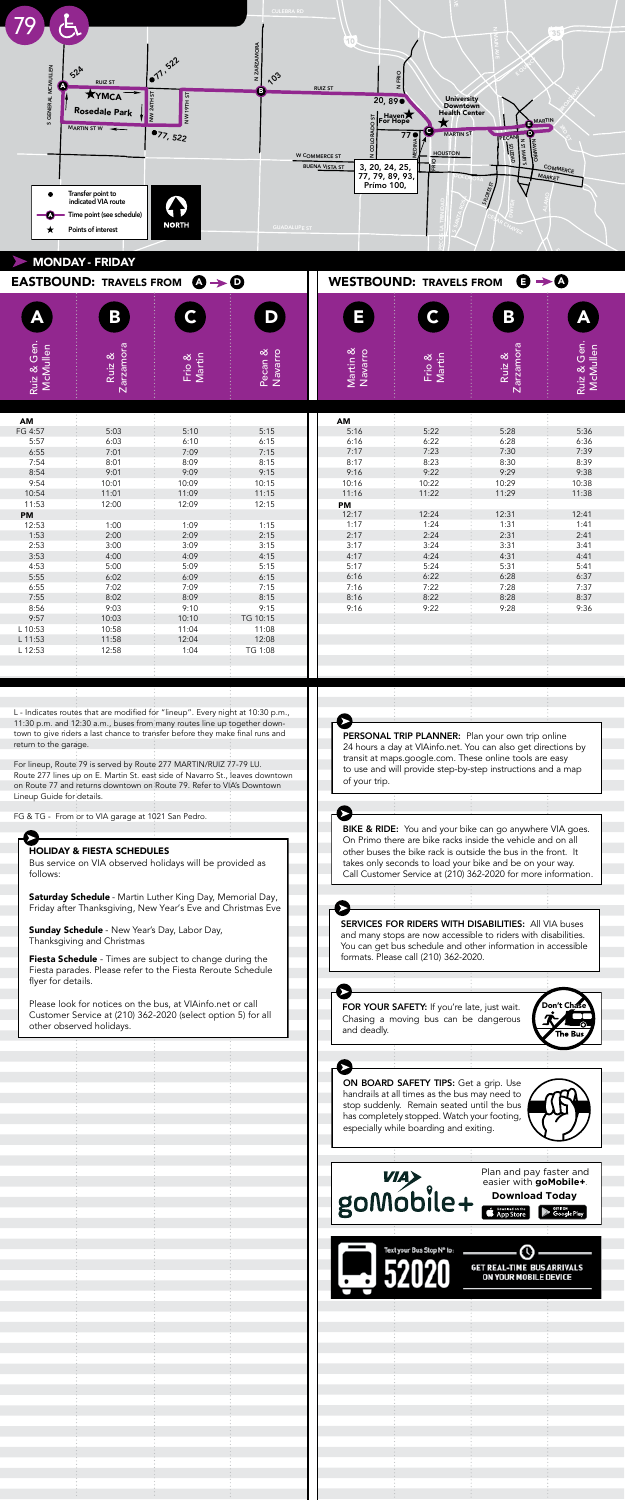L - Indicates routes that are modified for "lineup". Every night at 10:30 p.m., 11:30 p.m. and 12:30 a.m., buses from many routes line up together downtown to give riders a last chance to transfer before they make final runs and return to the garage.<br>However, when a bus is scheduled to arrive at a major scheduled to arrive at a major scheduled to arrive at a

For lineup, Route 79 is served by Route 277 MARTIN/RUIZ 77-79 LU. Route 277 lines up on E. Martin St. east side of Navarro St., leaves downtown noute 27 miles up on E. Martin St. east side of Navario St., jeaves downto<br>on Route 77 and returns downtown on Route 79. Refer to VIA's Downtown Lineup Guide for details. transfer point several minutes before it is scheduled to the several minutes before it is scheduled to the second to the several minutes of  $\overline{a}$ dep, noute 77 is served by noute 277 MANTHV/NOI277-77 EO.<br>to 277 lines up an E. Mertin St. east aide of Neuerre St. Jeouse dou.

FG & TG - From or to VIA garage at 1021 San Pedro.

SAN PEDRO AVE

CULEBRA RD

Saturday Schedule - Martin Luther King Day, Memorial Day, Friday after Thanksgiving, New Year's Eve and Christmas Eve

Fiesta Schedule - Times are subject to change during the Fiesta parades. Please refer to the Fiesta Reroute Schedule flyer for details.

**Sunday Schedule** - New Year's Day, Labor Day, Thanksgiving and Christmas



Normally just departure times are printed on the schedules. BIKE & RIDE: You and your bike can go anywhere VIA goes. transferred minutes are point search minutes and contained to it is seen to be foreign to the foreign the second to the second to be foreign the second to be a second to be a second to be a second to be a second to be a se other buses the bike rack is outside the bus in the front. It takes only seconds to load your bike and be on your way.<br>Call Catherine Seconds to 1210, 222, 2020 for your information On Primo there are bike racks inside the vehicle and on all<br>Customer Service at (210) 362-2020 for more information. Call Customer Service at (210) 362-2020 for more information. **BIKE & RIDE:** You and your bike can go anywhere VIA go  $\frac{1}{2}$  takes only second to load your bike and be on your way. **DINE & RIDE:** You and your bike can go anywhere VIA goes.

| <b>MONDAY - FRIDAY</b>                                                              |                         |                  |                    |                                                                                 |                  |                     |                         |  |
|-------------------------------------------------------------------------------------|-------------------------|------------------|--------------------|---------------------------------------------------------------------------------|------------------|---------------------|-------------------------|--|
| $\ddot{\mathbf{O}} \rightarrow \ddot{\mathbf{O}}$<br><b>EASTBOUND: TRAVELS FROM</b> |                         |                  |                    | $\mathbf{\Theta} \rightarrow \mathbf{\Theta}$<br><b>WESTBOUND: TRAVELS FROM</b> |                  |                     |                         |  |
|                                                                                     | $\overline{\mathbf{B}}$ | $\mathsf{C}$     | D                  | Ε                                                                               | C.               | B                   |                         |  |
| Ruiz & Gen.<br>McMullen                                                             | Zarzamora<br>Ruiz &     | Frio &<br>Martin | Pecan &<br>Navarro | Martin &<br>Navarro                                                             | Frio &<br>Martin | Zarzamora<br>Ruiz & | Ruiz & Gen.<br>McMullen |  |
|                                                                                     |                         |                  |                    |                                                                                 |                  |                     |                         |  |
| AM                                                                                  |                         |                  |                    | AM                                                                              |                  |                     |                         |  |
| FG 4:57                                                                             | 5:03                    | 5:10             | 5:15               | 5:16<br>6:16                                                                    | 5:22<br>6:22     | 5:28<br>6:28        | 5:36<br>6:36            |  |
| 5:57<br>6:55                                                                        | 6:03<br>7:01            | 6:10<br>7:09     | 6:15<br>7:15       | 7:17                                                                            | 7:23             | 7:30                | 7:39                    |  |
| 7:54                                                                                | 8:01                    | 8:09             | 8:15               | 8:17                                                                            | 8:23             | 8:30                | 8:39                    |  |
| 8:54                                                                                | 9:01                    | 9:09             | 9:15               | 9:16                                                                            | 9:22             | 9:29                | 9:38                    |  |
| 9:54                                                                                | 10:01                   | 10:09            | 10:15              | 10:16                                                                           | 10:22            | 10:29               | 10:38                   |  |
| 10:54                                                                               | 11:01                   | 11:09            | 11:15              | 11:16                                                                           | 11:22            | 11:29               | 11:38                   |  |
| 11:53                                                                               | 12:00                   | 12:09            | 12:15              | <b>PM</b>                                                                       |                  |                     |                         |  |
| PM                                                                                  |                         |                  |                    | 12:17                                                                           | 12:24            | 12:31               | 12:41                   |  |
| 12:53                                                                               | 1:00                    | 1:09             | 1:15               | 1:17                                                                            | 1:24             | 1:31                | 1:41                    |  |
| 1:53                                                                                | 2:00                    | 2:09             | 2:15               | 2:17                                                                            | 2:24             | 2:31                | 2:41                    |  |
| 2:53                                                                                | 3:00                    | 3:09             | 3:15               | 3:17                                                                            | 3:24             | 3:31                | 3:41                    |  |
| 3:53                                                                                | 4:00                    | 4:09             | 4:15               | 4:17                                                                            | 4:24             | 4:31                | 4:41                    |  |
| 4:53                                                                                | 5:00                    | 5:09             | 5:15               | 5:17                                                                            | 5:24             | 5:31                | 5:41                    |  |
| 5:55                                                                                | 6:02                    | 6:09             | 6:15               | 6:16                                                                            | 6:22             | 6:28                | 6:37                    |  |
| 6:55                                                                                | 7:02                    | 7:09             | 7:15               | 7:16                                                                            | 7:22             | 7:28                | 7:37                    |  |
| 7:55                                                                                | 8:02                    | 8:09             | 8:15               | 8:16                                                                            | 8:22             | 8:28                | 8:37                    |  |
| 8:56                                                                                | 9:03                    | 9:10             | 9:15               | 9:16                                                                            | 9:22             | 9:28                | 9:36                    |  |
| 9:57                                                                                | 10:03                   | 10:10            | TG 10:15           |                                                                                 |                  |                     |                         |  |
| L 10:53                                                                             | 10:58                   | 11:04            | 11:08              |                                                                                 |                  |                     |                         |  |
| L 11:53                                                                             | 11:58                   | 12:04            | 12:08              |                                                                                 |                  |                     |                         |  |
| L 12:53                                                                             | 12:58                   | 1:04             | TG 1:08            |                                                                                 |                  |                     |                         |  |
|                                                                                     |                         |                  |                    |                                                                                 |                  |                     |                         |  |
|                                                                                     |                         |                  |                    |                                                                                 |                  |                     |                         |  |

## HOLIDAY & FIESTA SCHEDULES

Bus service on VIA observed holidays will be provided as follows:

> $\blacksquare$  $\blacksquare$ Fiesta parades. Please refer to the Fiesta Reroute Schedule

 $\blacksquare$   $\blacksquare$  **Die point in the point set real-time bus arr**  $\overline{\mathbf{C}}$  is and arrival and departure times are displayed.  $\overline{\phantom{a}}$  , this help transfers to other routes.

Please look for notices on the bus, at VIAinfo.net or call Customer Service at (210) 362-2020 (select option 5) for all other observed holidays.

> Plan and pay faster and easier with **goMobile+**. **Download Today**

ON BOARD SAFETY TIPS: Get a grip. Use

What does not also will be a problem of the set of the set of the set of the set of the set of the set of the set of the set of the set of the set of the set of the set of the set of the set of the set of the set of the se

BIKE & RIDE: You and your bike can go anywhere VIA goes.  $\blacksquare$  are bike racks inside the vehicle and on all  $\blacksquare$ 

Call Customer Service at (210) 362-2020 for more information.

PERSONAL TRIP PLANNER: Plan your own trip online  $\mathbf{A}$  hours at VIAI in also get directions by a day also get directions by also get directions by a day  $\mathbf{A}$ 

 $\sqrt{N}$ Chasing a moving bus can be dangerous  $\blacksquare$ and deadly. WHAT DOES "7:05 / 7:16" MEANS FOR YOUR SAFETY: If you're late, just wait. FOR YOUR SAFETY: If you're late, just wait. FOR YOUR SAFETY: If you're late, just wait. **FOR YOUR SAFETY:** It you're late, just wait.

**PERSONAL TRIP PLANNER:** Plan your own trip online 24 hours a day at VIAinfo.net. You can also get directions by transit at maps.google.com. These online tools are easy to use and will provide step-by-step instructions and a map of your trip. **PERSONAL IRIP PLANNER:** Plan  $f(x) = f(x) + f(x) + f(x) + f(x)$ BIKE & RIDE: You and your bike can go anywhere VIA goes.

especially while boarding and exiting.

Please look for notices on the bus, at VIAinfo.net or call Customer Service at (210) 362-2020 (select option 5) for all

other observed holidays.

**Download Today**

 $\epsilon$   $\epsilon$ 

of your trip.

HOLIDAY & FIESTA SCHEDULES

Bus service on VIA observed holidays will be provided as

Saturday Schedule - Martin Luther King Day, Memorial Day, Friday after Thanksgiving, New Year's Eve and Christmas Eve



Fiesta Schedule - Times are subject to change during the Fiesta parades. Please refer to the Fiesta Reroute Schedule

flyer for details.

Thanksgiving and Christmas



Fiesta Schedule - Times are subject to change during the subject to change during the subject to change during the subject to change during the subject to change during the subject to change during the subject to change d Fiesta parades. Please refer to the Fiesta Reroute Schedule  $\overline{\phantom{a}}$ handrails at all times as the bus may need to  $\sqrt{d}$ stop suddenly. Remain seated until the bus  $\blacksquare$ has completely stopped. Watch your footing, Plan and pay faster and easier with **goMobile+**. **Download Today** Normally just departure times are printed on the schedules. However, when a bus is scheduled to arrive at a major scheduled to arrive at a major scheduled to arrive at a transfer point several minutes before it is scheduled to ON BOARD SAFETY TIPS: Get a grip. Use HOLIDAY & FIESTA SCHEDULES  $VIA$  observation of  $VIA$ follows:  $\sim$  TUICO IICO II ( $\epsilon$  Daymlaad on the  $\sim$  Scoogle Play) Friday after Thanksgiving, New Year's Eve and Christmas Eve  $\sum_{\text{SUSM}}$  $\sim$  New Year's Day, Labor Day, Labor Day, Labor Day, Labor Day, Labor Day, Labor Day, Labor Day, Labor Day, Labor Day, Labor Day, Labor Day, Labor Day, Labor Day, Labor Day, Labor Day, Labor Day, Labor Day, Labor Day, La Thanks give and Christmas and Christmas and Christmas and Christmas and Christmas and Christmas and Christmas and Christmas and Christmas and Christmas and Christmas and Christmas and Christmas and Christmas and Christmas Chasing a moving bus can be dangerous and deadly. on board in the boarding and exiting. especially while boarding and exiting. stop suddenly. Remain seated until the bus has completely stopped. Watch your footing, especially which boarding and exiting. The planet of the planet of the planet of the planet of the planet of the planet of the planet of the planet of the planet of the planet of the planet of the planet of the planet of t WHAT DOES "7:05 / 7:16" MEANS AND THE MAIN DESCRIPTION OF A REPORT OF A STRONG WARRANTY OF A REPORT OF A STRONG Normally just departure times are printed on the schedules. die However, when a bus is scheduled to arrive at a major series of the scheduled to arrive at a major series transit at maps.google.com. These online tools are easy to use and will provide step-by-step-by-step-by-step-by-step-by-step-by-step-by-step-by-step-by-step-by-step-bytakes only seconds to load your bike and be on your way. Call Customer Service at (210) 362-2020 for more information. FOR YOUR SAFETY: If you're late, just wait. Chasing a moving bus can be dangerous  $= 0$ Don't Chase POIMODII<del>P -</del> -Normally in the state of App Store Coogle Play However, when a bus is scheduled to arrive at a major transfer point several minutes before it is scheduled to Text your Bus Stop N<sup>+</sup> to: **and departures are displayed.**  $T_{\rm max}$  $\mathbf{A} = \mathbf{A} \mathbf{A} + \mathbf{A} \mathbf{A}$ Normally just departure times are printed on the schedules.  $\blacksquare$ transfer point several minutes before it is scheduled to depart, both the arrival and departures times are displayed.  $\blacksquare$  Text your Bus Stop N° to:  $\blacksquare$ 

> ON BOARD SAFETY TIPS: Get a grip. Use handrails at all times as the bus may need to

especially while boarding and exiting.

WHAT DOES "7:05 / 7:16" MEAN?

However, when a bus is scheduled to arrive at a major transfer point several minutes before it is scheduled to depart, both the arrival and departures times are displayed. This helps passengers plan transfers to other routes.

SERVICES FOR RIDERS WITH DISABILITIES: All VIA buses

PERSONAL TRIP PLANNER: Plan your own trip online

HOLIDAY & FIESTA SCHEDULES

Bus service on VIA observed holidays will be provided as

Saturday Schedule - Martin Luther King Day, Memorial Day, Friday after Thanksgiving, New Year's Eve and Christmas Eve

Fiesta Schedule - Times are subject to change during the Fiesta parades. Please refer to the Fiesta Reroute Schedule

Thanksgiving and Christmas

SERVICES FOR RIDERS WITH DISABILITIES: All VIA buses and many stops are now accessible to riders with disabilities.

On Primo there are bike racks inside the vehicle and on all other buses the bike rack is outside the bus in the front. It

and many stops are now accessible to riders with disabilities. You can get bus schedule and other information in accessible For suddenly. Bus sendered und other imprinted<br>formats. Please call (210) 362-2020.  $\frac{1}{2}$  in the complete term  $\frac{1}{2}$  is to positive. transit at manufacture to make only the materials are easy.<br>Thermate Diagon call (210) 242-2020 formats. Please call (210) 362-2020. SERVICES FOR RIDERS WITH DISABILITIES: All VIA buses  $\overline{\phantom{a}}$  ,  $\overline{\phantom{a}}$  and  $\overline{\phantom{a}}$  and  $\overline{\phantom{a}}$  and  $\overline{\phantom{a}}$  and  $\overline{\phantom{a}}$  and  $\overline{\phantom{a}}$  and  $\overline{\phantom{a}}$  and  $\overline{\phantom{a}}$  and  $\overline{\phantom{a}}$  and  $\overline{\phantom{a}}$  and  $\overline{\phantom{a}}$  and  $\overline{\phantom{a}}$  and  $\overline{\phantom{a}}$  and  $\overline{t}$  at maps.google.com. These online tools are easy online to  $\overline{t}$ 

HOLIDAY & FIESTA SCHEDULES

Bus service on VIA observed holidays will be provided as

Saturday Schedule - Martin Luther King Day, Memorial Day, Friday after Thanksgiving, New Year's Eve and Christmas Eve

Fiesta Schedule - Times are subject to change during the

flyer for details.

Please look for notices on the bus, at VIAinfo.net or call Customer Service at (210) 362-2020 (select option 5) for all

- New Year's Day, Labor Day,